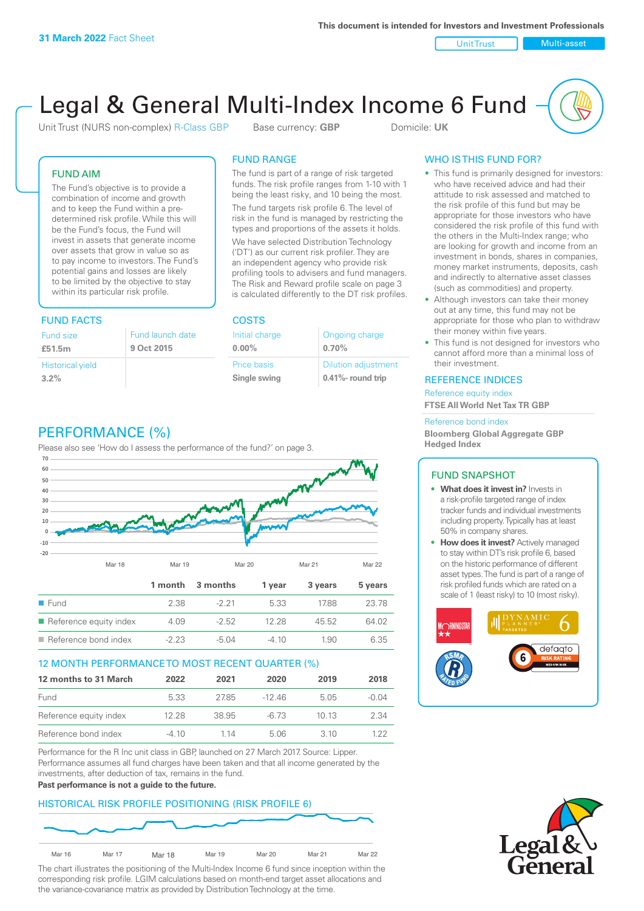Unit Trust Nulti-asset

# Legal & General Multi-Index Income 6 Fund

Unit Trust (NURS non-complex) R-Class GBP Base currency: **GBP** Domicile: UK

The fund is part of a range of risk targeted funds. The risk profile ranges from 1-10 with 1 being the least risky, and 10 being the most. The fund targets risk profile 6. The level of risk in the fund is managed by restricting the types and proportions of the assets it holds. We have selected Distribution Technology ('DT') as our current risk profiler. They are an independent agency who provide risk profiling tools to advisers and fund managers. The Risk and Reward profile scale on page 3 is calculated differently to the DT risk profiles.

Ongoing charge

Dilution adjustment **0.41%- round trip**

**0.70%**

FUND RANGE

Initial charge **0.00%**

Price basis **Single swing**

### FUND AIM

The Fund's objective is to provide a combination of income and growth and to keep the Fund within a predetermined risk profile. While this will be the Fund's focus, the Fund will invest in assets that generate income over assets that grow in value so as to pay income to investors. The Fund's potential gains and losses are likely to be limited by the objective to stay within its particular risk profile.

## FUND FACTS COSTS

| Fund size               | Fund launch date |
|-------------------------|------------------|
| £51.5m                  | 9 Oct 2015       |
| <b>Historical yield</b> |                  |
| 3.2%                    |                  |

# PERFORMANCE (%)

Please also see 'How do I assess the performance of the fund?' on page 3.



#### 12 MONTH PERFORMANCE TO MOST RECENT QUARTER (%)

| 12 months to 31 March  | 2022  | 2021  | 2020     | 2019  | 2018    |
|------------------------|-------|-------|----------|-------|---------|
| Fund                   | 5.33  | 2785  | $-12.46$ | 5.05  | $-0.04$ |
| Reference equity index | 12.28 | 38.95 | -6.73    | 10 13 | 2.34    |
| Reference bond index   | -4 10 | 1 14  | 5.06     | 3. IO | 1 22    |

Performance for the R Inc unit class in GBP, launched on 27 March 2017. Source: Lipper. Performance assumes all fund charges have been taken and that all income generated by the investments, after deduction of tax, remains in the fund.

#### **Past performance is not a guide to the future.**

## HISTORICAL RISK PROFILE POSITIONING (RISK PROFILE 6)



The chart illustrates the positioning of the Multi-Index Income 6 fund since inception within the corresponding risk profile. LGIM calculations based on month-end target asset allocations and the variance-covariance matrix as provided by Distribution Technology at the time.

### WHO IS THIS FUND FOR?

- This fund is primarily designed for investors: who have received advice and had their attitude to risk assessed and matched to the risk profile of this fund but may be appropriate for those investors who have considered the risk profile of this fund with the others in the Multi-Index range; who are looking for growth and income from an investment in bonds, shares in companies, money market instruments, deposits, cash and indirectly to alternative asset classes (such as commodities) and property.
- Although investors can take their money out at any time, this fund may not be appropriate for those who plan to withdraw their money within five years.
- This fund is not designed for investors who cannot afford more than a minimal loss of their investment.

#### REFERENCE INDICES

Reference equity index **FTSE All World Net Tax TR GBP**

#### Reference bond index

**Bloomberg Global Aggregate GBP Hedged Index**

#### FUND SNAPSHOT

- **• What does it invest in?** Invests in a risk-profile targeted range of index tracker funds and individual investments including property. Typically has at least 50% in company shares.
- **• How does it invest?** Actively managed to stay within DT's risk profile 6, based on the historic performance of different asset types. The fund is part of a range of risk profiled funds which are rated on a scale of 1 (least risky) to 10 (most risky).



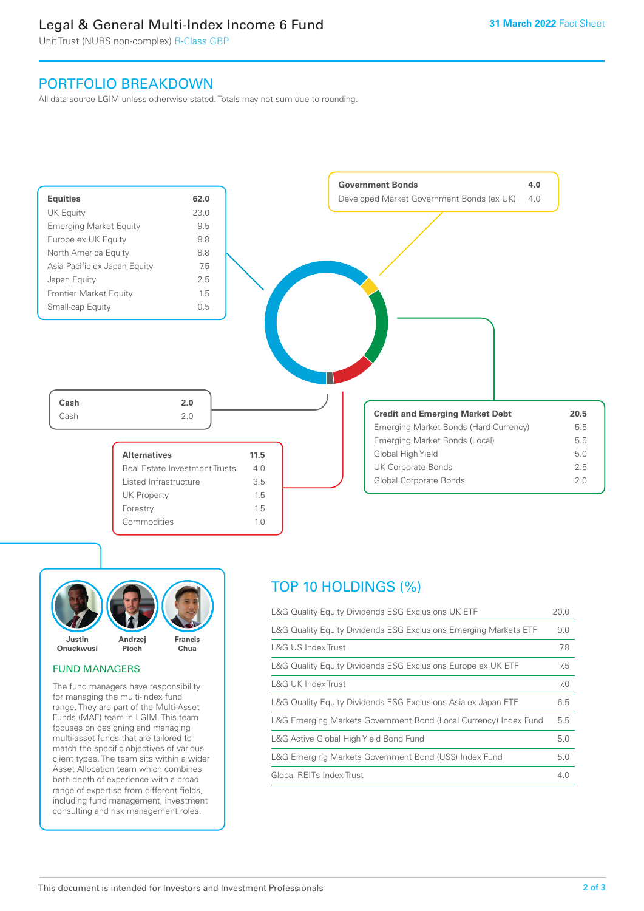## Legal & General Multi-Index Income 6 Fund

Unit Trust (NURS non-complex) R-Class GBP

## PORTFOLIO BREAKDOWN

All data source LGIM unless otherwise stated. Totals may not sum due to rounding.





#### FUND MANAGERS

The fund managers have responsibility for managing the multi-index fund range. They are part of the Multi-Asset Funds (MAF) team in LGIM. This team focuses on designing and managing multi-asset funds that are tailored to match the specific objectives of various client types. The team sits within a wider Asset Allocation team which combines both depth of experience with a broad range of expertise from different fields, including fund management, investment consulting and risk management roles.

# TOP 10 HOLDINGS (%)

| L&G Quality Equity Dividends ESG Exclusions UK ETF               | 20.0 |
|------------------------------------------------------------------|------|
| L&G Quality Equity Dividends ESG Exclusions Emerging Markets ETF | 9.0  |
| L&G US Index Trust                                               | 7.8  |
| L&G Quality Equity Dividends ESG Exclusions Europe ex UK ETF     | 7.5  |
| L&G UK Index Trust                                               | 7.0  |
| L&G Quality Equity Dividends ESG Exclusions Asia ex Japan ETF    | 6.5  |
| L&G Emerging Markets Government Bond (Local Currency) Index Fund | 5.5  |
| L&G Active Global High Yield Bond Fund                           | 5.0  |
| L&G Emerging Markets Government Bond (US\$) Index Fund           | 5.0  |
| Global REITs Index Trust                                         | 4.0  |